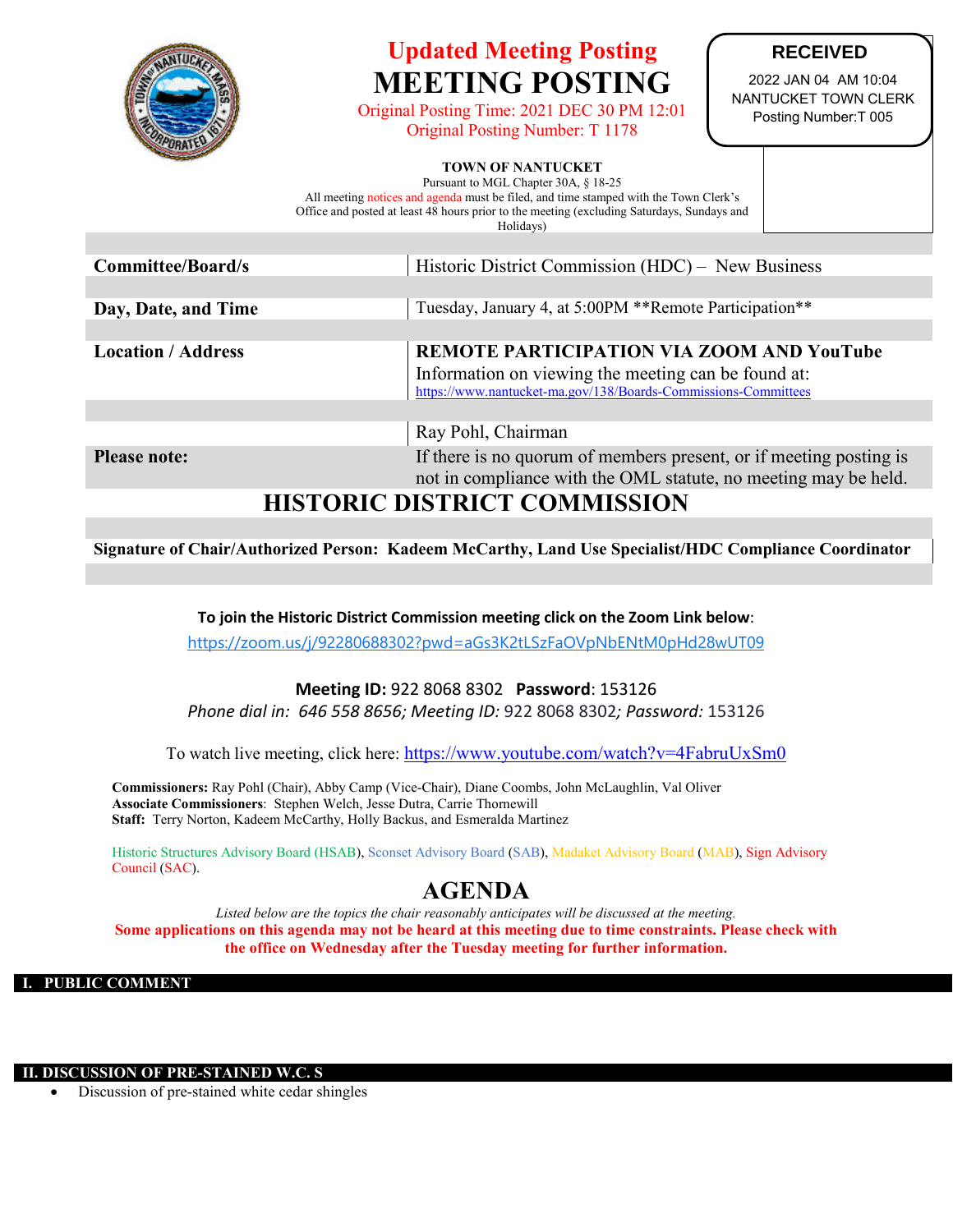

# **Updated Meeting Posting MEETING POSTING**

Original Posting Time: 2021 DEC 30 PM 12:01 Original Posting Number: T 1178

#### **RECEIVED**

2022 JAN 04 AM 10:04 NANTUCKET TOWN CLERK Posting Number:T 005

#### **TOWN OF NANTUCKET**

Pursuant to MGL Chapter 30A, § 18-25 All meeting notices and agenda must be filed, and time stamped with the Town Clerk's Office and posted at least 48 hours prior to the meeting (excluding Saturdays, Sundays and Holidays)

| <b>Committee/Board/s</b>  | Historic District Commission (HDC) – New Business                                                                                                                         |  |  |
|---------------------------|---------------------------------------------------------------------------------------------------------------------------------------------------------------------------|--|--|
|                           |                                                                                                                                                                           |  |  |
| Day, Date, and Time       | Tuesday, January 4, at 5:00PM **Remote Participation**                                                                                                                    |  |  |
|                           |                                                                                                                                                                           |  |  |
| <b>Location / Address</b> | <b>REMOTE PARTICIPATION VIA ZOOM AND YouTube</b><br>Information on viewing the meeting can be found at:<br>https://www.nantucket-ma.gov/138/Boards-Commissions-Committees |  |  |
|                           |                                                                                                                                                                           |  |  |
|                           | Ray Pohl, Chairman                                                                                                                                                        |  |  |
| <b>Please note:</b>       | If there is no quorum of members present, or if meeting posting is<br>not in compliance with the OML statute, no meeting may be held.                                     |  |  |
|                           |                                                                                                                                                                           |  |  |

### **HISTORIC DISTRICT COMMISSION**

**Signature of Chair/Authorized Person: Kadeem McCarthy, Land Use Specialist/HDC Compliance Coordinator**

**To join the Historic District Commission meeting click on the Zoom Link below**:

<https://zoom.us/j/92280688302?pwd=aGs3K2tLSzFaOVpNbENtM0pHd28wUT09>

#### **Meeting ID:** 922 8068 8302 **Password**: 153126

*Phone dial in: 646 558 8656; Meeting ID:* 922 8068 8302*; Password:* 153126

To watch live meeting, click here:<https://www.youtube.com/watch?v=4FabruUxSm0>

**Commissioners:** Ray Pohl (Chair), Abby Camp (Vice-Chair), Diane Coombs, John McLaughlin, Val Oliver **Associate Commissioners**: Stephen Welch, Jesse Dutra, Carrie Thornewill **Staff:** Terry Norton, Kadeem McCarthy, Holly Backus, and Esmeralda Martinez

Historic Structures Advisory Board (HSAB), Sconset Advisory Board (SAB), Madaket Advisory Board (MAB), Sign Advisory Council (SAC).

## **AGENDA**

*Listed below are the topics the chair reasonably anticipates will be discussed at the meeting.* **Some applications on this agenda may not be heard at this meeting due to time constraints. Please check with the office on Wednesday after the Tuesday meeting for further information.**

**I. PUBLIC COMMENT**

**II. DISCUSSION OF PRE-STAINED W.C. S**

Discussion of pre-stained white cedar shingles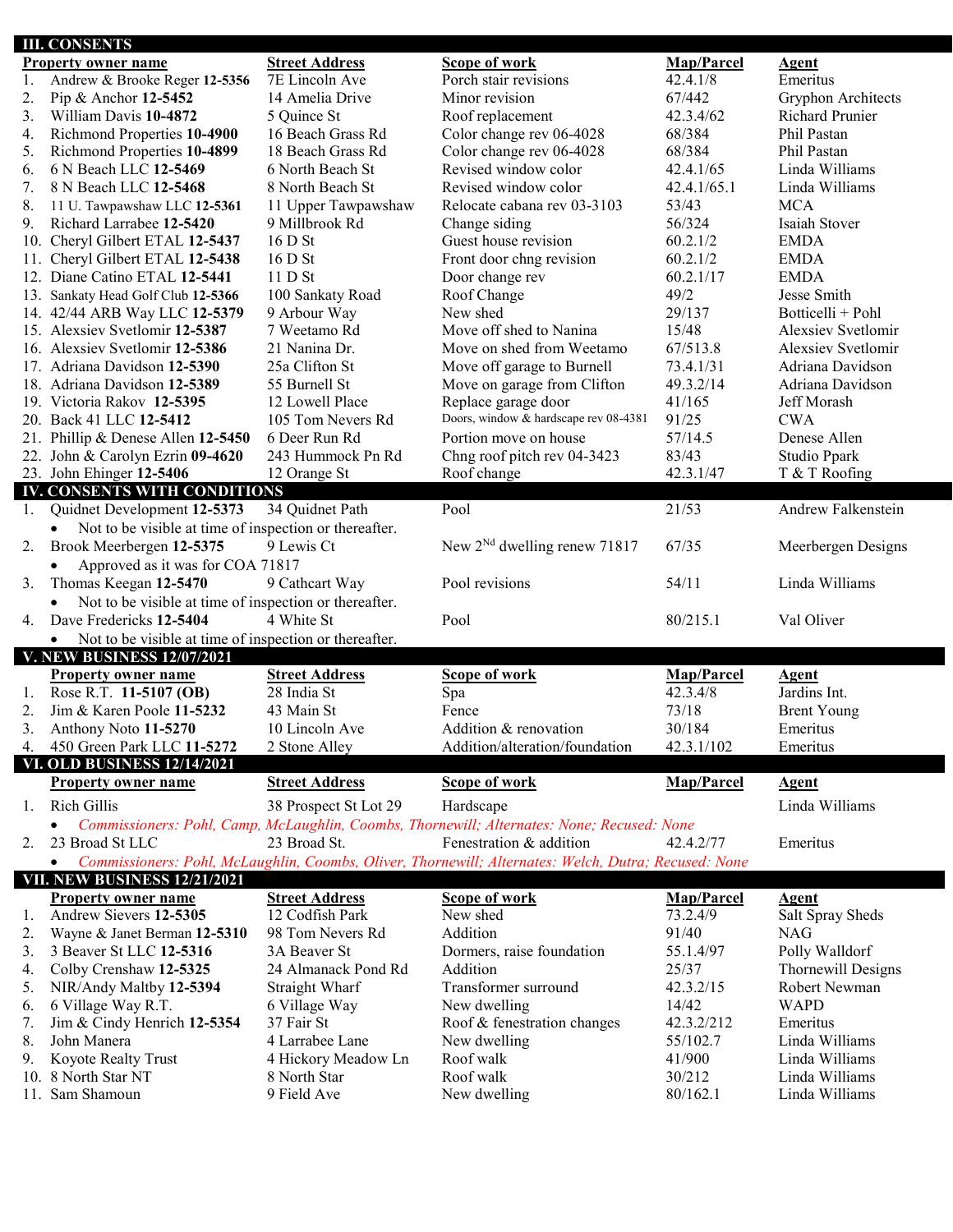|     | <b>III. CONSENTS</b>                                                |                             |                                                                                                      |                    |                                  |
|-----|---------------------------------------------------------------------|-----------------------------|------------------------------------------------------------------------------------------------------|--------------------|----------------------------------|
|     | <b>Property owner name</b>                                          | <b>Street Address</b>       | <b>Scope of work</b>                                                                                 | <b>Map/Parcel</b>  | <b>Agent</b>                     |
| 1.  | Andrew & Brooke Reger 12-5356                                       | 7E Lincoln Ave              | Porch stair revisions                                                                                | 42.4.1/8           | Emeritus                         |
| 2.  | Pip & Anchor 12-5452                                                | 14 Amelia Drive             | Minor revision                                                                                       | 67/442             | Gryphon Architects               |
| 3.  | William Davis 10-4872                                               | 5 Quince St                 | Roof replacement                                                                                     | 42.3.4/62          | <b>Richard Prunier</b>           |
| 4.  | Richmond Properties 10-4900                                         | 16 Beach Grass Rd           | Color change rev 06-4028                                                                             | 68/384             | Phil Pastan                      |
| 5.  | Richmond Properties 10-4899                                         | 18 Beach Grass Rd           | Color change rev 06-4028                                                                             | 68/384             | Phil Pastan                      |
| 6.  | 6 N Beach LLC 12-5469                                               | 6 North Beach St            | Revised window color                                                                                 | 42.4.1/65          | Linda Williams                   |
| 7.  | 8 N Beach LLC 12-5468                                               | 8 North Beach St            | Revised window color                                                                                 | 42.4.1/65.1        | Linda Williams                   |
| 8.  | 11 U. Tawpawshaw LLC 12-5361                                        | 11 Upper Tawpawshaw         | Relocate cabana rev 03-3103                                                                          | 53/43              | <b>MCA</b>                       |
| 9.  | Richard Larrabee 12-5420                                            | 9 Millbrook Rd              | Change siding                                                                                        | 56/324             | Isaiah Stover                    |
| 10. | Cheryl Gilbert ETAL 12-5437                                         | 16 D St                     | Guest house revision                                                                                 | 60.2.1/2           | <b>EMDA</b>                      |
| 11. | Cheryl Gilbert ETAL 12-5438                                         | 16 D St                     | Front door chng revision                                                                             | 60.2.1/2           | <b>EMDA</b>                      |
|     | 12. Diane Catino ETAL 12-5441                                       | 11DSt                       | Door change rev                                                                                      | 60.2.1/17          | <b>EMDA</b>                      |
|     | 13. Sankaty Head Golf Club 12-5366                                  | 100 Sankaty Road            | Roof Change                                                                                          | 49/2               | Jesse Smith                      |
|     | 14. 42/44 ARB Way LLC 12-5379                                       | 9 Arbour Way                | New shed                                                                                             | 29/137             | Botticelli + Pohl                |
|     | 15. Alexsiev Svetlomir 12-5387                                      | 7 Weetamo Rd                | Move off shed to Nanina                                                                              | 15/48              | Alexsiev Svetlomir               |
|     | 16. Alexsiev Svetlomir 12-5386                                      | 21 Nanina Dr.               | Move on shed from Weetamo                                                                            | 67/513.8           | Alexsiev Svetlomir               |
|     | 17. Adriana Davidson 12-5390                                        | 25a Clifton St              | Move off garage to Burnell                                                                           | 73.4.1/31          | Adriana Davidson                 |
|     | 18. Adriana Davidson 12-5389                                        | 55 Burnell St               | Move on garage from Clifton                                                                          | 49.3.2/14          | Adriana Davidson                 |
|     | 19. Victoria Rakov 12-5395                                          | 12 Lowell Place             | Replace garage door                                                                                  | 41/165             | Jeff Morash                      |
|     | 20. Back 41 LLC 12-5412                                             | 105 Tom Nevers Rd           | Doors, window & hardscape rev 08-4381                                                                | 91/25              | <b>CWA</b>                       |
|     | 21. Phillip & Denese Allen 12-5450                                  | 6 Deer Run Rd               | Portion move on house                                                                                | 57/14.5            | Denese Allen                     |
|     | 22. John & Carolyn Ezrin 09-4620                                    | 243 Hummock Pn Rd           | Chng roof pitch rev 04-3423                                                                          | 83/43              | Studio Ppark                     |
|     | 23. John Ehinger 12-5406                                            | 12 Orange St                | Roof change                                                                                          | 42.3.1/47          | T & T Roofing                    |
|     | <b>IV. CONSENTS WITH CONDITIONS</b>                                 |                             |                                                                                                      |                    |                                  |
| 1.  | Quidnet Development 12-5373                                         | 34 Quidnet Path             | Pool                                                                                                 | 21/53              | Andrew Falkenstein               |
|     | Not to be visible at time of inspection or thereafter.<br>$\bullet$ |                             |                                                                                                      |                    |                                  |
| 2.  | Brook Meerbergen 12-5375                                            | 9 Lewis Ct                  | New $2^{Nd}$ dwelling renew 71817                                                                    | 67/35              | Meerbergen Designs               |
|     | Approved as it was for COA 71817<br>$\bullet$                       |                             |                                                                                                      |                    |                                  |
|     |                                                                     |                             |                                                                                                      |                    |                                  |
| 3.  | Thomas Keegan 12-5470                                               | 9 Cathcart Way              | Pool revisions                                                                                       | 54/11              | Linda Williams                   |
|     | Not to be visible at time of inspection or thereafter.              |                             |                                                                                                      |                    |                                  |
| 4.  | Dave Fredericks 12-5404                                             | 4 White St                  | Pool                                                                                                 | 80/215.1           | Val Oliver                       |
|     | Not to be visible at time of inspection or thereafter.<br>$\bullet$ |                             |                                                                                                      |                    |                                  |
|     | <b>V. NEW BUSINESS 12/07/2021</b>                                   |                             |                                                                                                      |                    |                                  |
|     | <b>Property owner name</b>                                          | <b>Street Address</b>       | <b>Scope of work</b>                                                                                 | Map/Parcel         | <b>Agent</b>                     |
| 1.  | Rose R.T. 11-5107 (OB)                                              | 28 India St                 | Spa                                                                                                  | 42.3.4/8           | Jardins Int.                     |
| 2.  | Jim & Karen Poole 11-5232                                           | 43 Main St                  | Fence                                                                                                | 73/18              | <b>Brent Young</b>               |
| 3.  | Anthony Noto 11-5270                                                | 10 Lincoln Ave              | Addition & renovation                                                                                | 30/184             | Emeritus                         |
| 4.  | 450 Green Park LLC 11-5272                                          | 2 Stone Alley               | Addition/alteration/foundation                                                                       | 42.3.1/102         | Emeritus                         |
|     | <b>VI. OLD BUSINESS 12/14/2021</b>                                  |                             |                                                                                                      |                    |                                  |
|     | <b>Property owner name</b>                                          | <b>Street Address</b>       | <b>Scope of work</b>                                                                                 | Map/Parcel         | <b>Agent</b>                     |
| 1.  |                                                                     |                             |                                                                                                      |                    |                                  |
|     | Rich Gillis<br>$\bullet$                                            | 38 Prospect St Lot 29       | Hardscape                                                                                            |                    | Linda Williams                   |
|     |                                                                     |                             | Commissioners: Pohl, Camp, McLaughlin, Coombs, Thornewill; Alternates: None; Recused: None           |                    |                                  |
| 2.  | 23 Broad St LLC                                                     | 23 Broad St.                | Fenestration & addition                                                                              | 42.4.2/77          | Emeritus                         |
|     | $\bullet$                                                           |                             | Commissioners: Pohl, McLaughlin, Coombs, Oliver, Thornewill; Alternates: Welch, Dutra; Recused: None |                    |                                  |
|     | <b>VII. NEW BUSINESS 12/21/2021</b>                                 |                             |                                                                                                      |                    |                                  |
|     | <b>Property owner name</b>                                          | <b>Street Address</b>       | <b>Scope of work</b>                                                                                 | Map/Parcel         | <b>Agent</b>                     |
| 1.  | Andrew Sievers 12-5305                                              | 12 Codfish Park             | New shed                                                                                             | 73.2.4/9           | Salt Spray Sheds                 |
| 2.  | Wayne & Janet Berman 12-5310                                        | 98 Tom Nevers Rd            | Addition                                                                                             | 91/40              | <b>NAG</b>                       |
| 3.  | 3 Beaver St LLC 12-5316                                             | 3A Beaver St                | Dormers, raise foundation                                                                            | 55.1.4/97          | Polly Walldorf                   |
| 4.  | Colby Crenshaw 12-5325                                              | 24 Almanack Pond Rd         | Addition                                                                                             | 25/37              | Thornewill Designs               |
| 5.  | NIR/Andy Maltby 12-5394                                             | Straight Wharf              | Transformer surround                                                                                 | 42.3.2/15          | Robert Newman                    |
| 6.  | 6 Village Way R.T.                                                  | 6 Village Way               | New dwelling                                                                                         | 14/42              | <b>WAPD</b>                      |
| 7.  | Jim & Cindy Henrich 12-5354                                         | 37 Fair St                  | Roof & fenestration changes                                                                          | 42.3.2/212         | Emeritus                         |
| 8.  | John Manera                                                         | 4 Larrabee Lane             | New dwelling                                                                                         | 55/102.7           | Linda Williams                   |
| 9.  | Koyote Realty Trust                                                 | 4 Hickory Meadow Ln         | Roof walk                                                                                            | 41/900             | Linda Williams                   |
| 10. | 8 North Star NT<br>11. Sam Shamoun                                  | 8 North Star<br>9 Field Ave | Roof walk<br>New dwelling                                                                            | 30/212<br>80/162.1 | Linda Williams<br>Linda Williams |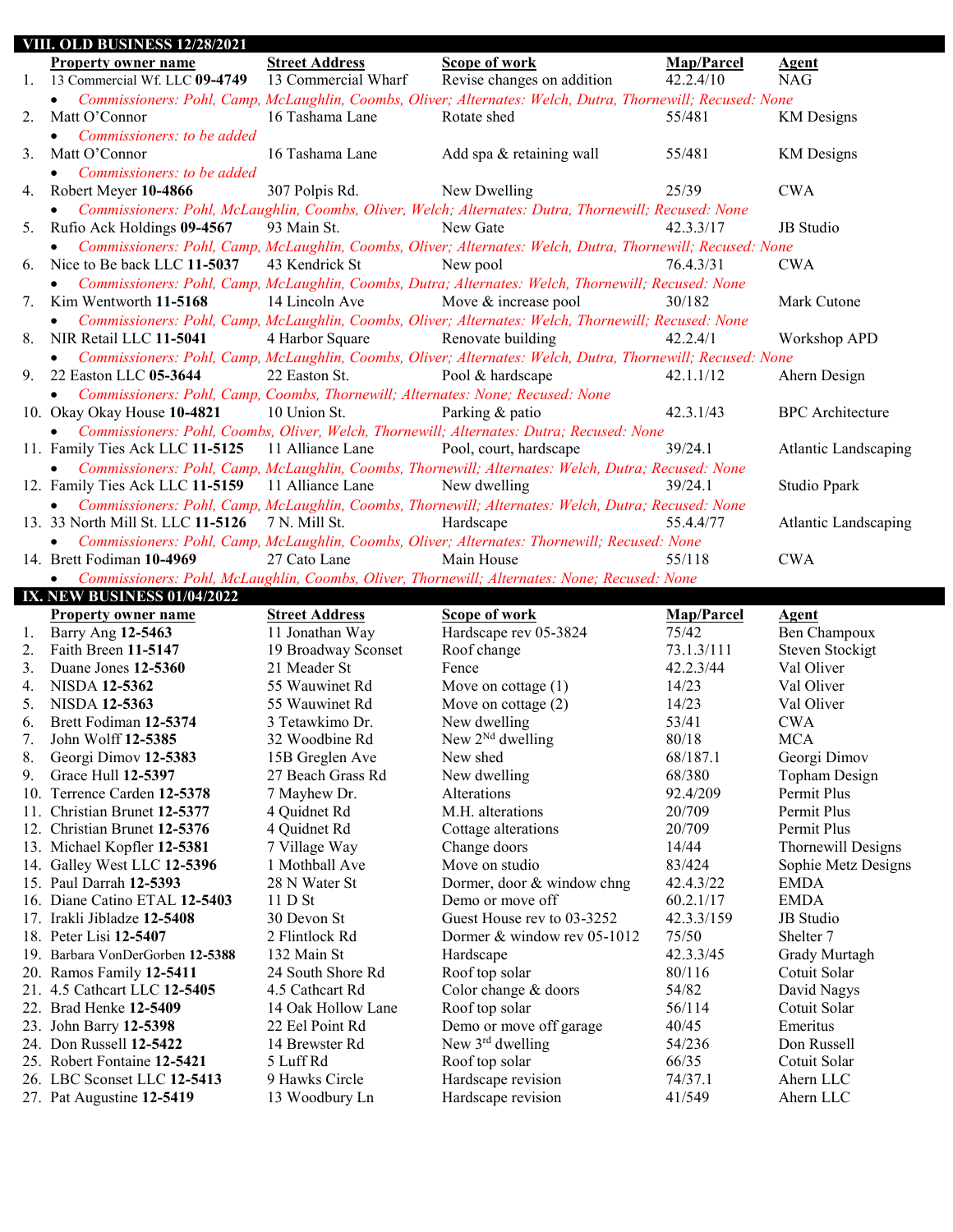| <b>VIII. OLD BUSINESS 12/28/2021</b> |                                                                                             |                       |                                                                                                            |            |                             |
|--------------------------------------|---------------------------------------------------------------------------------------------|-----------------------|------------------------------------------------------------------------------------------------------------|------------|-----------------------------|
|                                      | <b>Property owner name</b>                                                                  | <b>Street Address</b> | Scope of work                                                                                              | Map/Parcel | <b>Agent</b>                |
| 1.                                   | 13 Commercial Wf. LLC 09-4749                                                               | 13 Commercial Wharf   | Revise changes on addition                                                                                 | 42.2.4/10  | <b>NAG</b>                  |
|                                      |                                                                                             |                       | Commissioners: Pohl, Camp, McLaughlin, Coombs, Oliver; Alternates: Welch, Dutra, Thornewill; Recused: None |            |                             |
| 2.                                   | Matt O'Connor                                                                               | 16 Tashama Lane       | Rotate shed                                                                                                | 55/481     | <b>KM</b> Designs           |
|                                      | Commissioners: to be added<br>$\bullet$                                                     |                       |                                                                                                            |            |                             |
|                                      | Matt O'Connor                                                                               | 16 Tashama Lane       |                                                                                                            | 55/481     |                             |
| 3.                                   |                                                                                             |                       | Add spa & retaining wall                                                                                   |            | <b>KM</b> Designs           |
|                                      | Commissioners: to be added<br>$\bullet$                                                     |                       |                                                                                                            |            |                             |
| 4.                                   | Robert Meyer 10-4866                                                                        | 307 Polpis Rd.        | New Dwelling                                                                                               | 25/39      | <b>CWA</b>                  |
|                                      | $\bullet$                                                                                   |                       | Commissioners: Pohl, McLaughlin, Coombs, Oliver, Welch; Alternates: Dutra, Thornewill; Recused: None       |            |                             |
| 5.                                   | Rufio Ack Holdings 09-4567                                                                  | 93 Main St.           | New Gate                                                                                                   | 42.3.3/17  | JB Studio                   |
|                                      | $\bullet$                                                                                   |                       | Commissioners: Pohl, Camp, McLaughlin, Coombs, Oliver; Alternates: Welch, Dutra, Thornewill; Recused: None |            |                             |
| 6.                                   | Nice to Be back LLC 11-5037                                                                 | 43 Kendrick St        | New pool                                                                                                   | 76.4.3/31  | <b>CWA</b>                  |
|                                      | $\bullet$                                                                                   |                       | Commissioners: Pohl, Camp, McLaughlin, Coombs, Dutra; Alternates: Welch, Thornewill; Recused: None         |            |                             |
| 7.                                   | Kim Wentworth 11-5168                                                                       | 14 Lincoln Ave        | Move & increase pool                                                                                       | 30/182     | Mark Cutone                 |
|                                      | $\bullet$                                                                                   |                       | Commissioners: Pohl, Camp, McLaughlin, Coombs, Oliver; Alternates: Welch, Thornewill; Recused: None        |            |                             |
| 8.                                   | NIR Retail LLC 11-5041                                                                      | 4 Harbor Square       | Renovate building                                                                                          | 42.2.4/1   | Workshop APD                |
|                                      | $\bullet$                                                                                   |                       | Commissioners: Pohl, Camp, McLaughlin, Coombs, Oliver; Alternates: Welch, Dutra, Thornewill; Recused: None |            |                             |
| 9.                                   | 22 Easton LLC 05-3644                                                                       | 22 Easton St.         | Pool & hardscape                                                                                           | 42.1.1/12  | Ahern Design                |
|                                      | Commissioners: Pohl, Camp, Coombs, Thornewill; Alternates: None; Recused: None<br>$\bullet$ |                       |                                                                                                            |            |                             |
|                                      | 10. Okay Okay House 10-4821                                                                 | 10 Union St.          | Parking & patio                                                                                            | 42.3.1/43  | <b>BPC</b> Architecture     |
|                                      |                                                                                             |                       | Commissioners: Pohl, Coombs, Oliver, Welch, Thornewill; Alternates: Dutra; Recused: None                   |            |                             |
|                                      | $\bullet$                                                                                   |                       |                                                                                                            |            |                             |
|                                      | 11. Family Ties Ack LLC 11-5125                                                             | 11 Alliance Lane      | Pool, court, hardscape                                                                                     | 39/24.1    | <b>Atlantic Landscaping</b> |
|                                      |                                                                                             |                       | Commissioners: Pohl, Camp, McLaughlin, Coombs, Thornewill; Alternates: Welch, Dutra; Recused: None         |            |                             |
|                                      | 12. Family Ties Ack LLC 11-5159                                                             | 11 Alliance Lane      | New dwelling                                                                                               | 39/24.1    | Studio Ppark                |
|                                      |                                                                                             |                       | Commissioners: Pohl, Camp, McLaughlin, Coombs, Thornewill; Alternates: Welch, Dutra; Recused: None         |            |                             |
|                                      | 13. 33 North Mill St. LLC 11-5126                                                           | 7 N. Mill St.         | Hardscape                                                                                                  | 55.4.4/77  | <b>Atlantic Landscaping</b> |
|                                      |                                                                                             |                       | Commissioners: Pohl, Camp, McLaughlin, Coombs, Oliver; Alternates: Thornewill; Recused: None               |            |                             |
|                                      | 14. Brett Fodiman 10-4969                                                                   | 27 Cato Lane          | Main House                                                                                                 | 55/118     | <b>CWA</b>                  |
|                                      |                                                                                             |                       |                                                                                                            |            |                             |
|                                      | $\bullet$                                                                                   |                       | Commissioners: Pohl, McLaughlin, Coombs, Oliver, Thornewill; Alternates: None; Recused: None               |            |                             |
|                                      | <b>IX. NEW BUSINESS 01/04/2022</b>                                                          |                       |                                                                                                            |            |                             |
|                                      |                                                                                             |                       |                                                                                                            |            |                             |
|                                      | <b>Property owner name</b>                                                                  | <b>Street Address</b> | Scope of work                                                                                              | Map/Parcel | <b>Agent</b>                |
| 1.                                   | Barry Ang 12-5463<br>Faith Breen 11-5147                                                    | 11 Jonathan Way       | Hardscape rev 05-3824                                                                                      | 75/42      | Ben Champoux                |
| 2.                                   |                                                                                             | 19 Broadway Sconset   | Roof change<br>Fence                                                                                       | 73.1.3/111 | Steven Stockigt             |
| 3.                                   | Duane Jones 12-5360                                                                         | 21 Meader St          |                                                                                                            | 42.2.3/44  | Val Oliver                  |
| 4.                                   | <b>NISDA 12-5362</b>                                                                        | 55 Wauwinet Rd        | Move on cottage $(1)$                                                                                      | 14/23      | Val Oliver                  |
| 5.                                   | <b>NISDA 12-5363</b>                                                                        | 55 Wauwinet Rd        | Move on cottage $(2)$                                                                                      | 14/23      | Val Oliver                  |
| 6.                                   | Brett Fodiman 12-5374                                                                       | 3 Tetawkimo Dr.       | New dwelling                                                                                               | 53/41      | <b>CWA</b>                  |
| 7.                                   | John Wolff 12-5385                                                                          | 32 Woodbine Rd        | New $2^{Nd}$ dwelling                                                                                      | 80/18      | <b>MCA</b>                  |
| 8.                                   | Georgi Dimov 12-5383                                                                        | 15B Greglen Ave       | New shed                                                                                                   | 68/187.1   | Georgi Dimov                |
| 9.                                   | Grace Hull 12-5397                                                                          | 27 Beach Grass Rd     | New dwelling                                                                                               | 68/380     | Topham Design               |
|                                      | 10. Terrence Carden 12-5378                                                                 | 7 Mayhew Dr.          | Alterations                                                                                                | 92.4/209   | Permit Plus                 |
|                                      | 11. Christian Brunet 12-5377                                                                | 4 Quidnet Rd          | M.H. alterations                                                                                           | 20/709     | Permit Plus                 |
|                                      | 12. Christian Brunet 12-5376                                                                | 4 Quidnet Rd          | Cottage alterations                                                                                        | 20/709     | Permit Plus                 |
|                                      | 13. Michael Kopfler 12-5381                                                                 | 7 Village Way         | Change doors                                                                                               | 14/44      | Thornewill Designs          |
|                                      | 14. Galley West LLC 12-5396                                                                 | 1 Mothball Ave        | Move on studio                                                                                             | 83/424     | Sophie Metz Designs         |
|                                      | 15. Paul Darrah 12-5393                                                                     | 28 N Water St         | Dormer, door & window chng                                                                                 | 42.4.3/22  | <b>EMDA</b>                 |
|                                      | 16. Diane Catino ETAL 12-5403                                                               | $11D$ St              | Demo or move off                                                                                           | 60.2.1/17  | <b>EMDA</b>                 |
|                                      | 17. Irakli Jibladze 12-5408                                                                 | 30 Devon St           | Guest House rev to 03-3252                                                                                 | 42.3.3/159 | JB Studio                   |
|                                      | 18. Peter Lisi 12-5407                                                                      | 2 Flintlock Rd        | Dormer & window rev 05-1012                                                                                | 75/50      | Shelter <sub>7</sub>        |
|                                      | 19. Barbara VonDerGorben 12-5388                                                            | 132 Main St           | Hardscape                                                                                                  | 42.3.3/45  | Grady Murtagh               |
|                                      | 20. Ramos Family 12-5411                                                                    | 24 South Shore Rd     | Roof top solar                                                                                             | 80/116     | Cotuit Solar                |
|                                      | 21. 4.5 Cathcart LLC 12-5405                                                                | 4.5 Cathcart Rd       | Color change & doors                                                                                       | 54/82      | David Nagys                 |
|                                      | 22. Brad Henke 12-5409                                                                      | 14 Oak Hollow Lane    | Roof top solar                                                                                             | 56/114     | Cotuit Solar                |
|                                      | 23. John Barry 12-5398                                                                      | 22 Eel Point Rd       | Demo or move off garage                                                                                    | 40/45      | Emeritus                    |
|                                      | 24. Don Russell 12-5422                                                                     | 14 Brewster Rd        | New $3rd$ dwelling                                                                                         | 54/236     | Don Russell                 |
|                                      | 25. Robert Fontaine 12-5421                                                                 | 5 Luff Rd             | Roof top solar                                                                                             | 66/35      | Cotuit Solar                |
|                                      | 26. LBC Sconset LLC 12-5413                                                                 | 9 Hawks Circle        | Hardscape revision                                                                                         | 74/37.1    | Ahern LLC                   |